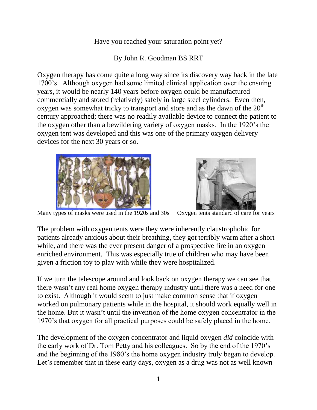Have you reached your saturation point yet?

By John R. Goodman BS RRT

Oxygen therapy has come quite a long way since its discovery way back in the late 1700's. Although oxygen had some limited clinical application over the ensuing years, it would be nearly 140 years before oxygen could be manufactured commercially and stored (relatively) safely in large steel cylinders. Even then, oxygen was somewhat tricky to transport and store and as the dawn of the  $20<sup>th</sup>$ century approached; there was no readily available device to connect the patient to the oxygen other than a bewildering variety of oxygen masks. In the 1920's the oxygen tent was developed and this was one of the primary oxygen delivery devices for the next 30 years or so.





Many types of masks were used in the 1920s and 30s Oxygen tents standard of care for years

The problem with oxygen tents were they were inherently claustrophobic for patients already anxious about their breathing, they got terribly warm after a short while, and there was the ever present danger of a prospective fire in an oxygen enriched environment. This was especially true of children who may have been given a friction toy to play with while they were hospitalized.

If we turn the telescope around and look back on oxygen therapy we can see that there wasn't any real home oxygen therapy industry until there was a need for one to exist. Although it would seem to just make common sense that if oxygen worked on pulmonary patients while in the hospital, it should work equally well in the home. But it wasn't until the invention of the home oxygen concentrator in the 1970's that oxygen for all practical purposes could be safely placed in the home.

The development of the oxygen concentrator and liquid oxygen *did* coincide with the early work of Dr. Tom Petty and his colleagues. So by the end of the 1970's and the beginning of the 1980's the home oxygen industry truly began to develop. Let's remember that in these early days, oxygen as a drug was not as well known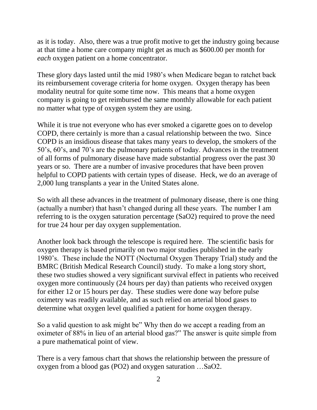as it is today. Also, there was a true profit motive to get the industry going because at that time a home care company might get as much as \$600.00 per month for *each* oxygen patient on a home concentrator.

These glory days lasted until the mid 1980's when Medicare began to ratchet back its reimbursement coverage criteria for home oxygen. Oxygen therapy has been modality neutral for quite some time now. This means that a home oxygen company is going to get reimbursed the same monthly allowable for each patient no matter what type of oxygen system they are using.

While it is true not everyone who has ever smoked a cigarette goes on to develop COPD, there certainly is more than a casual relationship between the two. Since COPD is an insidious disease that takes many years to develop, the smokers of the 50's, 60's, and 70's are the pulmonary patients of today. Advances in the treatment of all forms of pulmonary disease have made substantial progress over the past 30 years or so. There are a number of invasive procedures that have been proven helpful to COPD patients with certain types of disease. Heck, we do an average of 2,000 lung transplants a year in the United States alone.

So with all these advances in the treatment of pulmonary disease, there is one thing (actually a number) that hasn't changed during all these years. The number I am referring to is the oxygen saturation percentage (SaO2) required to prove the need for true 24 hour per day oxygen supplementation.

Another look back through the telescope is required here. The scientific basis for oxygen therapy is based primarily on two major studies published in the early 1980's. These include the NOTT (Nocturnal Oxygen Therapy Trial) study and the BMRC (British Medical Research Council) study. To make a long story short, these two studies showed a very significant survival effect in patients who received oxygen more continuously (24 hours per day) than patients who received oxygen for either 12 or 15 hours per day. These studies were done way before pulse oximetry was readily available, and as such relied on arterial blood gases to determine what oxygen level qualified a patient for home oxygen therapy.

So a valid question to ask might be" Why then do we accept a reading from an oximeter of 88% in lieu of an arterial blood gas?" The answer is quite simple from a pure mathematical point of view.

There is a very famous chart that shows the relationship between the pressure of oxygen from a blood gas (PO2) and oxygen saturation …SaO2.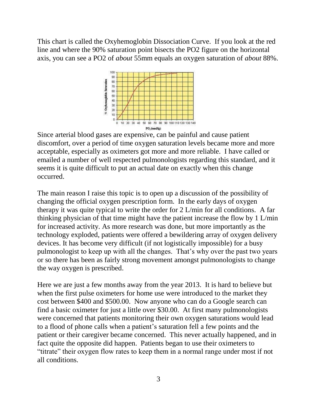This chart is called the Oxyhemoglobin Dissociation Curve. If you look at the red line and where the 90% saturation point bisects the PO2 figure on the horizontal axis, you can see a PO2 of *about* 55mm equals an oxygen saturation of *about* 88%.



Since arterial blood gases are expensive, can be painful and cause patient discomfort, over a period of time oxygen saturation levels became more and more acceptable, especially as oximeters got more and more reliable. I have called or emailed a number of well respected pulmonologists regarding this standard, and it seems it is quite difficult to put an actual date on exactly when this change occurred.

The main reason I raise this topic is to open up a discussion of the possibility of changing the official oxygen prescription form. In the early days of oxygen therapy it was quite typical to write the order for 2 L/min for all conditions. A far thinking physician of that time might have the patient increase the flow by 1 L/min for increased activity. As more research was done, but more importantly as the technology exploded, patients were offered a bewildering array of oxygen delivery devices. It has become very difficult (if not logistically impossible) for a busy pulmonologist to keep up with all the changes. That's why over the past two years or so there has been as fairly strong movement amongst pulmonologists to change the way oxygen is prescribed.

Here we are just a few months away from the year 2013. It is hard to believe but when the first pulse oximeters for home use were introduced to the market they cost between \$400 and \$500.00. Now anyone who can do a Google search can find a basic oximeter for just a little over \$30.00. At first many pulmonologists were concerned that patients monitoring their own oxygen saturations would lead to a flood of phone calls when a patient's saturation fell a few points and the patient or their caregiver became concerned. This never actually happened, and in fact quite the opposite did happen. Patients began to use their oximeters to "titrate" their oxygen flow rates to keep them in a normal range under most if not all conditions.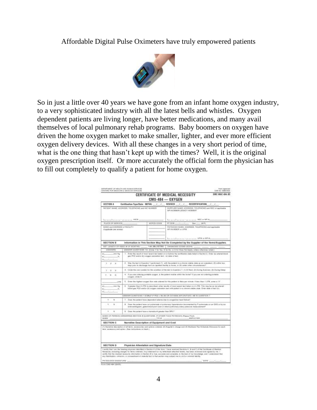Affordable Digital Pulse Oximeters have truly empowered patients



So in just a little over 40 years we have gone from an infant home oxygen industry, to a very sophisticated industry with all the latest bells and whistles. Oxygen dependent patients are living longer, have better medications, and many avail themselves of local pulmonary rehab programs. Baby boomers on oxygen have driven the home oxygen market to make smaller, lighter, and ever more efficient oxygen delivery devices. With all these changes in a very short period of time, what is the one thing that hasn't kept up with the times? Well, it is the original oxygen prescription itself. Or more accurately the official form the physician has to fill out completely to qualify a patient for home oxygen.

| CERTIFICATE OF MEDICAL NECESSITY<br><b>BME MAC 484.03</b><br>$CMS-484 - OXYGEN$ |                                                                                                                                                                                                                                              |                                                                                                                                                                                                                                                                                                                                                                                                                                                                                                                                                                                |  |
|---------------------------------------------------------------------------------|----------------------------------------------------------------------------------------------------------------------------------------------------------------------------------------------------------------------------------------------|--------------------------------------------------------------------------------------------------------------------------------------------------------------------------------------------------------------------------------------------------------------------------------------------------------------------------------------------------------------------------------------------------------------------------------------------------------------------------------------------------------------------------------------------------------------------------------|--|
| <b>EECTION A</b>                                                                | Contilization TeperDate: INITIAL  /  /                                                                                                                                                                                                       | REVISED / / RECERTIFICATION / /                                                                                                                                                                                                                                                                                                                                                                                                                                                                                                                                                |  |
| MITENT MAME, ADDRESS, TELEPHONE and NIC AUMEEN-                                 |                                                                                                                                                                                                                                              | SUPPLIER AAME, ADDRESS, TELEPHONE was NGC or automobile<br>MATAN WEIGHT ESONCA, MOREIGHT                                                                                                                                                                                                                                                                                                                                                                                                                                                                                       |  |
| has no actual and one on " without you can. HERE                                |                                                                                                                                                                                                                                              | has an exchange and The research and \$500 at \$500 m.                                                                                                                                                                                                                                                                                                                                                                                                                                                                                                                         |  |
| <b>FLIGE OF SERVICE.</b><br>HOPOS DOOR                                          |                                                                                                                                                                                                                                              | PT 008 - 2020 - 2021 - 2021<br>Sair 11 - 1977                                                                                                                                                                                                                                                                                                                                                                                                                                                                                                                                  |  |
| RAINE AND ADDRESS OF TACILITY<br>Fatebrate (out weets)                          |                                                                                                                                                                                                                                              | FUYOCIAN NAME: ADDRESS, TELEPHONE and resinually<br><b>MPI NUMBER ocuPIR</b>                                                                                                                                                                                                                                                                                                                                                                                                                                                                                                   |  |
|                                                                                 |                                                                                                                                                                                                                                              | has an auditor enter The recording. SPRINTER-                                                                                                                                                                                                                                                                                                                                                                                                                                                                                                                                  |  |
| <b>SECTION II</b>                                                               |                                                                                                                                                                                                                                              | information in This Section May Not Be Completed by the Supplier of the Remo/Supplies.                                                                                                                                                                                                                                                                                                                                                                                                                                                                                         |  |
|                                                                                 |                                                                                                                                                                                                                                              | BUT LENGTH OF NEED IN OF MONTHS: conser 1-RM (RECREDIN)   DIAGNOSED DODES (000-9) account and an                                                                                                                                                                                                                                                                                                                                                                                                                                                                               |  |
| <b>ANTWERS</b>                                                                  |                                                                                                                                                                                                                                              | AMENCA GEEST ELMS 1.0. (Circle Y for fax). S for No. or D for Cowy Not Apply, unkers otherwise relaed.)                                                                                                                                                                                                                                                                                                                                                                                                                                                                        |  |
| <b>Home and Part Party</b><br>$\sim$<br>diameter and                            | 1. Exter the result of recent leased below and substitute the centrifulation date feled in Section A. Exteri as entered book<br>gein PCC similar Billintroppen testeration haut, sich risike of heat.                                        |                                                                                                                                                                                                                                                                                                                                                                                                                                                                                                                                                                                |  |
| 1.7.7                                                                           | 2 Wee the boot in Gove for T performed (1) with the pretent in a shrone icente view or an inspectent, (2) within two<br>days' prise to chickening them an inputters buildy to terms, or (it) under siller silvated busines!                  |                                                                                                                                                                                                                                                                                                                                                                                                                                                                                                                                                                                |  |
| $1 - 2 - 3$                                                                     | 8. Circle the aim substant for the initiation of the text in Question 1: (1) At Reet. (b) Coming Services: (3) During Servi-                                                                                                                 |                                                                                                                                                                                                                                                                                                                                                                                                                                                                                                                                                                                |  |
| 9.79.8                                                                          | 4. If you are undering portable ougan, a the patient regise within the looke? If you are locks this conduite<br>coopper, circle D.                                                                                                           |                                                                                                                                                                                                                                                                                                                                                                                                                                                                                                                                                                                |  |
| 1, PM                                                                           | 5. Ensi the lighest coupe from rete crossed for the patient in their permittede. Finns than 1.17M, enter a 'X'                                                                                                                               |                                                                                                                                                                                                                                                                                                                                                                                                                                                                                                                                                                                |  |
| 43.                                                                             | 18 graphs ritiges 4 LPM is a secretary, which would not receive would be to take a con-4 LPM. This may be not lot a needal<br>blowd gas FCD and/or it i expose awarented with partners is a electron shifts while. Einter data of fact (ii). |                                                                                                                                                                                                                                                                                                                                                                                                                                                                                                                                                                                |  |
|                                                                                 |                                                                                                                                                                                                                                              | ARESIER QUESTIONS 7 & GHLY IF FO2 + 66-50 OK CUYORN SATURATION + 88 N/ COSTEDE T                                                                                                                                                                                                                                                                                                                                                                                                                                                                                               |  |
| $\overline{\phantom{a}}$<br>v                                                   |                                                                                                                                                                                                                                              | 7. Does the patient have dependent educate daily to progettive here! Malves?                                                                                                                                                                                                                                                                                                                                                                                                                                                                                                   |  |
| ٠<br>٠                                                                          | B. Deas the particle have veripotennial stypehone (yhysimisely constants) decomplished by P pulmonake so on EBS or by as<br>actionstituzione, golari bico è paul scan un dienti publicazio allero passiole massi carendall'                  |                                                                                                                                                                                                                                                                                                                                                                                                                                                                                                                                                                                |  |
| ٠                                                                               | B. Deal the palarmhave a temploir preser than 58%?                                                                                                                                                                                           |                                                                                                                                                                                                                                                                                                                                                                                                                                                                                                                                                                                |  |
| <b>HAME</b>                                                                     |                                                                                                                                                                                                                                              | RAME OF PERIOD ANIWER RIN BECTOR & GUEST SIAS, IF OTHER THAN FHYSICIAN (Floors Pres)<br><b>SMALDVAR</b><br>7716                                                                                                                                                                                                                                                                                                                                                                                                                                                                |  |
| <b>SECTION C</b>                                                                | Narrative Description of Equipment and Cost                                                                                                                                                                                                  |                                                                                                                                                                                                                                                                                                                                                                                                                                                                                                                                                                                |  |
|                                                                                 | ters, accessory and spike. (See indicates on heat.)                                                                                                                                                                                          | (7) Statestick description of all Neme, accessories and uplons ordered; (2) Display's charge and (3) Statement Pas Schedule Allowause for each.                                                                                                                                                                                                                                                                                                                                                                                                                                |  |
| SECTION D                                                                       | Physician Attentation and Signature/Date                                                                                                                                                                                                     |                                                                                                                                                                                                                                                                                                                                                                                                                                                                                                                                                                                |  |
|                                                                                 |                                                                                                                                                                                                                                              | Luxelly that I get the bearing physician identities in Section A of the faire. I have received Sections A. B suit C of the Centillare of Medicini<br>Henatoly (millusing charges for Nets crobers). Any stolened colory letterheed attached henry, has been oviewed stating rate by me. I<br>cently that the electral recounty internation in Section & is line, accurate and complete, to the least of my boostedge, and I understand that<br>siny fedsification, a mission, at consessing at at material fact in that section may subject me to civil or priminal liability. |  |
|                                                                                 |                                                                                                                                                                                                                                              |                                                                                                                                                                                                                                                                                                                                                                                                                                                                                                                                                                                |  |